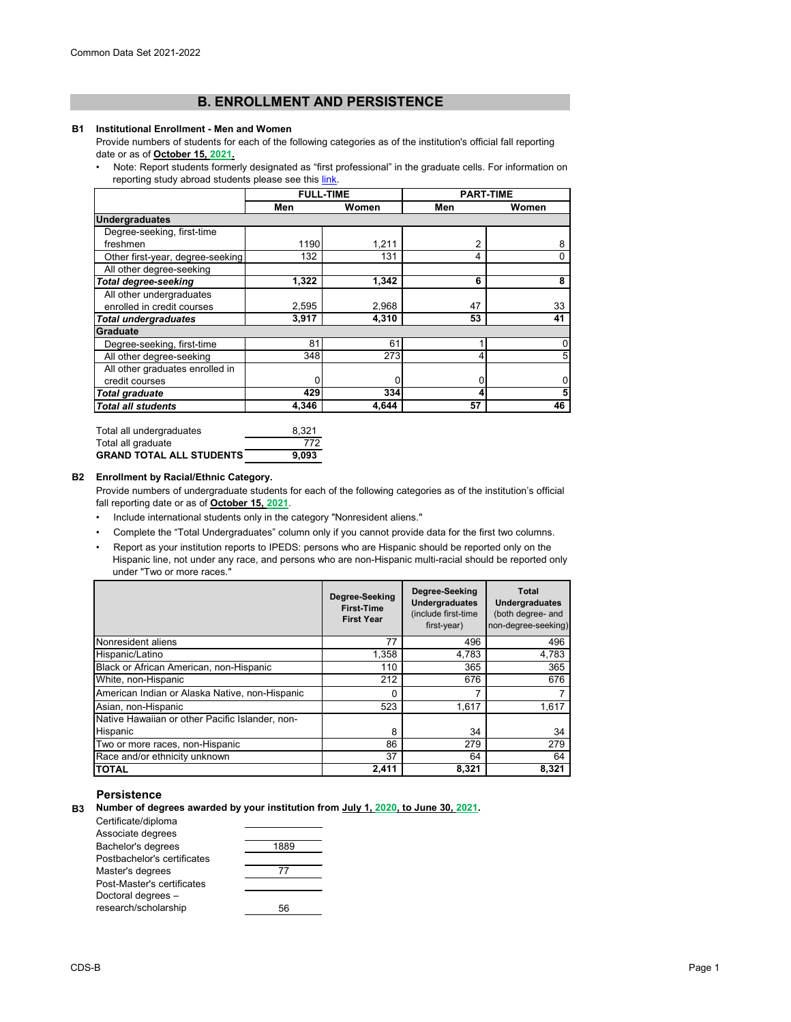# **B. ENROLLMENT AND PERSISTENCE**

#### **B1 Institutional Enrollment - Men and Women**

Provide numbers of students for each of the following categories as of the institution's official fall reporting date or as of **October 15, 2021.**

[• Note: Report students formerly](https://nces.ed.gov/ipeds/pdf/Reporting_Study_Abroad%20Students_5.31.17.pdf) designated as "first professional" in the graduate cells. For information on reporting study abroad students please see this link.

|                                  | <b>FULL-TIME</b> |       |     | <b>PART-TIME</b>        |
|----------------------------------|------------------|-------|-----|-------------------------|
|                                  | Men              | Women | Men | Women                   |
| <b>Undergraduates</b>            |                  |       |     |                         |
| Degree-seeking, first-time       |                  |       |     |                         |
| freshmen                         | 1190             | 1,211 | 2   | 8                       |
| Other first-year, degree-seeking | 132              | 131   | 4   | 0                       |
| All other degree-seeking         |                  |       |     |                         |
| <b>Total degree-seeking</b>      | 1,322            | 1,342 | 6   | 8                       |
| All other undergraduates         |                  |       |     |                         |
| enrolled in credit courses       | 2,595            | 2,968 | 47  | 33                      |
| <b>Total undergraduates</b>      | 3,917            | 4,310 | 53  | 41                      |
| Graduate                         |                  |       |     |                         |
| Degree-seeking, first-time       | 81               | 61    |     | $\pmb{0}$               |
| All other degree-seeking         | 348              | 273   |     | 5                       |
| All other graduates enrolled in  |                  |       |     |                         |
| credit courses                   |                  |       |     | $\pmb{0}$               |
| <b>Total graduate</b>            | 429              | 334   |     | $\overline{\mathbf{5}}$ |
| <b>Total all students</b>        | 4,346            | 4,644 | 57  | 46                      |

| Total all undergraduates        | 8.321 |
|---------------------------------|-------|
| Total all graduate              | 772   |
| <b>GRAND TOTAL ALL STUDENTS</b> | 9.093 |

#### **B2 Enrollment by Racial/Ethnic Category.**

Provide numbers of undergraduate students for each of the following categories as of the institution's official fall reporting date or as of **October 15, 2021**.

- Include international students only in the category "Nonresident aliens."
- Complete the "Total Undergraduates" column only if you cannot provide data for the first two columns.
- Report as your institution reports to IPEDS: persons who are Hispanic should be reported only on the Hispanic line, not under any race, and persons who are non-Hispanic multi-racial should be reported only under "Two or more races."

|                                                 | Degree-Seeking<br><b>First-Time</b><br><b>First Year</b> | Degree-Seeking<br><b>Undergraduates</b><br>(include first-time<br>first-year) | <b>Total</b><br><b>Undergraduates</b><br>(both degree- and<br>non-degree-seeking) |
|-------------------------------------------------|----------------------------------------------------------|-------------------------------------------------------------------------------|-----------------------------------------------------------------------------------|
| Nonresident aliens                              | 77                                                       | 496                                                                           | 496                                                                               |
| Hispanic/Latino                                 | 1,358                                                    | 4,783                                                                         | 4,783                                                                             |
| Black or African American, non-Hispanic         | 110                                                      | 365                                                                           | 365                                                                               |
| White, non-Hispanic                             | 212                                                      | 676                                                                           | 676                                                                               |
| American Indian or Alaska Native, non-Hispanic  |                                                          | 7                                                                             |                                                                                   |
| Asian, non-Hispanic                             | 523                                                      | 1,617                                                                         | 1,617                                                                             |
| Native Hawaiian or other Pacific Islander, non- |                                                          |                                                                               |                                                                                   |
| Hispanic                                        | 8                                                        | 34                                                                            | 34                                                                                |
| Two or more races, non-Hispanic                 | 86                                                       | 279                                                                           | 279                                                                               |
| Race and/or ethnicity unknown                   | 37                                                       | 64                                                                            | 64                                                                                |
| TOTAL                                           | 2,411                                                    | 8,321                                                                         | 8,321                                                                             |

### **Persistence**

**B3 Number of degrees awarded by your institution from July 1, 2020, to June 30, 2021.**

| Certificate/diploma         |      |
|-----------------------------|------|
| Associate degrees           |      |
| Bachelor's degrees          | 1889 |
| Postbachelor's certificates |      |
| Master's degrees            | 77   |
| Post-Master's certificates  |      |
| Doctoral degrees -          |      |
| research/scholarship        |      |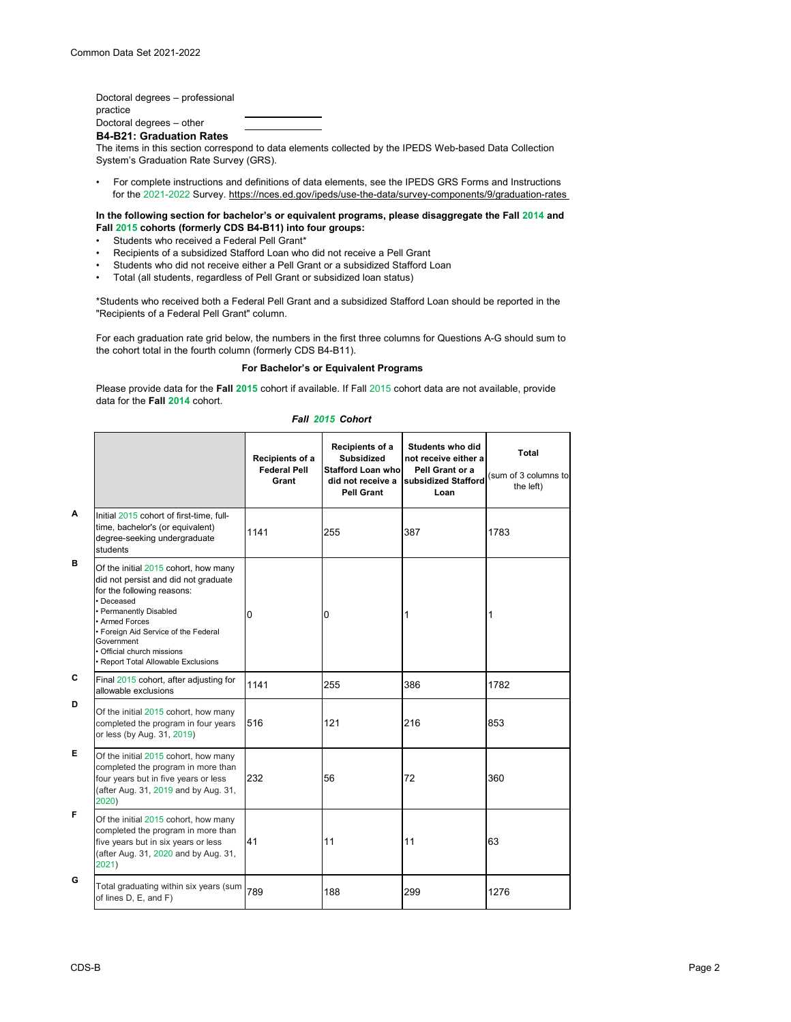Doctoral degrees – professional practice

Doctoral degrees – other

**B4-B21: Graduation Rates**

The items in this section correspond to data elements collected by the IPEDS Web-based Data Collection System's Graduation Rate Survey (GRS).

• For complete instructions and definitions of data elements, see the IPEDS GRS Forms and Instructions for the 2021-2022 Survey. https://nces.ed.gov/ipeds/use-the-data/survey-components/9/graduation-rates

**In the following section for bachelor's or equivalent programs, please disaggregate the Fall 2014 and Fall 2015 cohorts (formerly CDS B4-B11) into four groups:**

- Students who received a Federal Pell Grant\*
- Recipients of a subsidized Stafford Loan who did not receive a Pell Grant
- Students who did not receive either a Pell Grant or a subsidized Stafford Loan
- Total (all students, regardless of Pell Grant or subsidized loan status)

\*Students who received both a Federal Pell Grant and a subsidized Stafford Loan should be reported in the "Recipients of a Federal Pell Grant" column.

For each graduation rate grid below, the numbers in the first three columns for Questions A-G should sum to the cohort total in the fourth column (formerly CDS B4-B11).

#### **For Bachelor's or Equivalent Programs**

Please provide data for the **Fall 2015** cohort if available. If Fall 2015 cohort data are not available, provide data for the **Fall 2014** cohort.

|              |                                                                                                                                                                                                                                                                                               | Recipients of a<br><b>Federal Pell</b><br>Grant | Recipients of a<br><b>Subsidized</b><br><b>Stafford Loan who</b><br>did not receive a<br><b>Pell Grant</b> | Students who did<br>not receive either a<br>Pell Grant or a<br>subsidized Stafford<br>Loan | <b>Total</b><br>(sum of 3 columns to<br>the left) |
|--------------|-----------------------------------------------------------------------------------------------------------------------------------------------------------------------------------------------------------------------------------------------------------------------------------------------|-------------------------------------------------|------------------------------------------------------------------------------------------------------------|--------------------------------------------------------------------------------------------|---------------------------------------------------|
| A            | Initial 2015 cohort of first-time, full-<br>time, bachelor's (or equivalent)<br>degree-seeking undergraduate<br>students                                                                                                                                                                      | 1141                                            | 255                                                                                                        | 387                                                                                        | 1783                                              |
| B            | Of the initial 2015 cohort, how many<br>did not persist and did not graduate<br>for the following reasons:<br>· Deceased<br>• Permanently Disabled<br>Armed Forces<br>• Foreign Aid Service of the Federal<br>Government<br>• Official church missions<br>· Report Total Allowable Exclusions | 0                                               | 0                                                                                                          | 1                                                                                          |                                                   |
| $\mathbf{C}$ | Final 2015 cohort, after adjusting for<br>allowable exclusions                                                                                                                                                                                                                                | 1141                                            | 255                                                                                                        | 386                                                                                        | 1782                                              |
| D            | Of the initial 2015 cohort, how many<br>completed the program in four years<br>or less (by Aug. 31, 2019)                                                                                                                                                                                     | 516                                             | 121                                                                                                        | 216                                                                                        | 853                                               |
| Е            | Of the initial 2015 cohort, how many<br>completed the program in more than<br>four years but in five years or less<br>(after Aug. 31, 2019 and by Aug. 31,<br>2020)                                                                                                                           | 232                                             | 56                                                                                                         | 72                                                                                         | 360                                               |
| F            | Of the initial 2015 cohort, how many<br>completed the program in more than<br>five years but in six years or less<br>(after Aug. 31, 2020 and by Aug. 31,<br>2021)                                                                                                                            | 41                                              | 11                                                                                                         | 11                                                                                         | 63                                                |
| G            | Total graduating within six years (sum<br>of lines D, E, and F)                                                                                                                                                                                                                               | 789                                             | 188                                                                                                        | 299                                                                                        | 1276                                              |

### *Fall 2015 Cohort*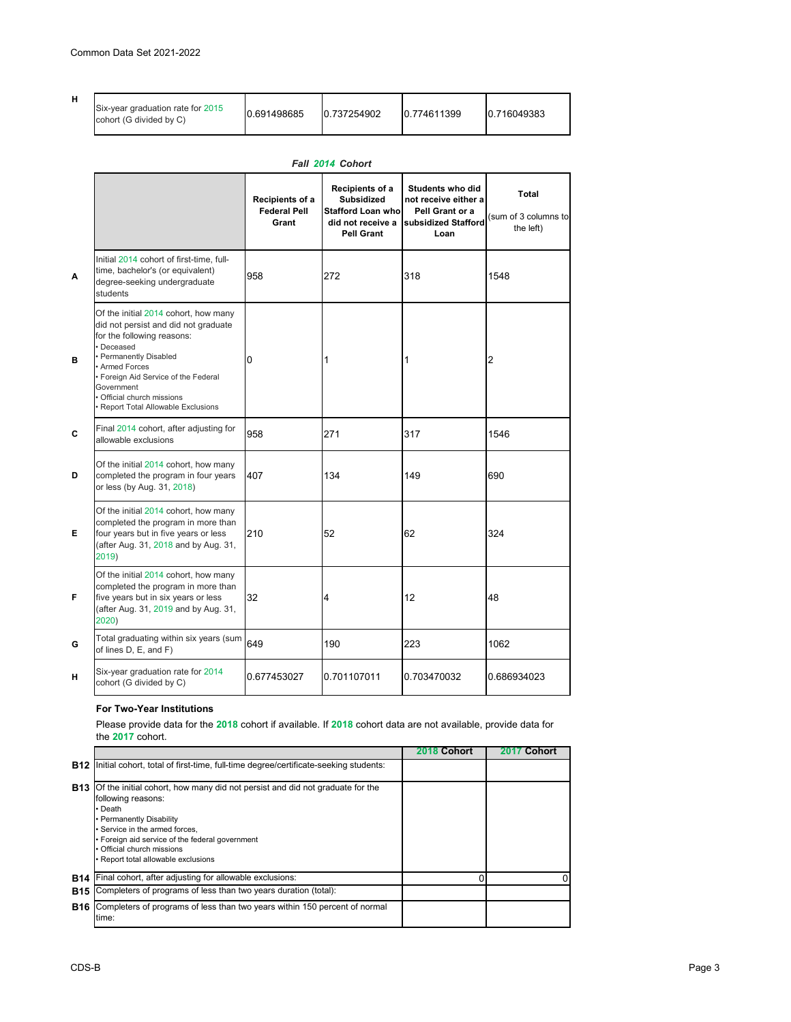|  | Six-year graduation rate for 2015<br>cohort (G divided by C) | 0.691498685 | 10.737254902 | 0.774611399 | 10.716049383 |
|--|--------------------------------------------------------------|-------------|--------------|-------------|--------------|
|--|--------------------------------------------------------------|-------------|--------------|-------------|--------------|

|   |                                                                                                                                                                                                                                                                                                | Recipients of a<br><b>Federal Pell</b><br>Grant | <b>Recipients of a</b><br><b>Subsidized</b><br><b>Stafford Loan who</b><br>did not receive a<br><b>Pell Grant</b> | Students who did<br>not receive either a<br>Pell Grant or a<br>subsidized Stafford<br>Loan | <b>Total</b><br>(sum of 3 columns to<br>the left) |
|---|------------------------------------------------------------------------------------------------------------------------------------------------------------------------------------------------------------------------------------------------------------------------------------------------|-------------------------------------------------|-------------------------------------------------------------------------------------------------------------------|--------------------------------------------------------------------------------------------|---------------------------------------------------|
| A | Initial 2014 cohort of first-time, full-<br>time, bachelor's (or equivalent)<br>degree-seeking undergraduate<br>students                                                                                                                                                                       | 958                                             | 272                                                                                                               | 318                                                                                        | 1548                                              |
| В | Of the initial 2014 cohort, how many<br>did not persist and did not graduate<br>for the following reasons:<br>Deceased<br><b>Permanently Disabled</b><br>Armed Forces<br>• Foreign Aid Service of the Federal<br>Government<br>Official church missions<br>· Report Total Allowable Exclusions | 0                                               |                                                                                                                   |                                                                                            | 2                                                 |
| C | Final 2014 cohort, after adjusting for<br>allowable exclusions                                                                                                                                                                                                                                 | 958                                             | 271                                                                                                               | 317                                                                                        | 1546                                              |
| D | Of the initial 2014 cohort, how many<br>completed the program in four years<br>or less (by Aug. 31, 2018)                                                                                                                                                                                      | 407                                             | 134                                                                                                               | 149                                                                                        | 690                                               |
| Е | Of the initial 2014 cohort, how many<br>completed the program in more than<br>four years but in five years or less<br>(after Aug. 31, 2018 and by Aug. 31,<br>2019)                                                                                                                            | 210                                             | 52                                                                                                                | 62                                                                                         | 324                                               |
| F | Of the initial 2014 cohort, how many<br>completed the program in more than<br>five years but in six years or less<br>(after Aug. 31, 2019 and by Aug. 31,<br>2020)                                                                                                                             | 32                                              | 4                                                                                                                 | 12                                                                                         | 48                                                |
| G | Total graduating within six years (sum<br>of lines D, E, and F)                                                                                                                                                                                                                                | 649                                             | 190                                                                                                               | 223                                                                                        | 1062                                              |
| н | Six-year graduation rate for 2014<br>cohort (G divided by C)                                                                                                                                                                                                                                   | 0.677453027                                     | 0.701107011                                                                                                       | 0.703470032                                                                                | 0.686934023                                       |

# *Fall 2014 Cohort*

## **For Two-Year Institutions**

Please provide data for the **2018** cohort if available. If **2018** cohort data are not available, provide data for the **2017** cohort.

|                        |                                                                                                                                                                                                                                                                                                           | Cohort | Cohort |
|------------------------|-----------------------------------------------------------------------------------------------------------------------------------------------------------------------------------------------------------------------------------------------------------------------------------------------------------|--------|--------|
| <b>B12</b>             | Initial cohort, total of first-time, full-time degree/certificate-seeking students:                                                                                                                                                                                                                       |        |        |
| <b>B</b> <sub>13</sub> | Of the initial cohort, how many did not persist and did not graduate for the<br>following reasons:<br>$\cdot$ Death<br>• Permanently Disability<br>• Service in the armed forces,<br>• Foreign aid service of the federal government<br>• Official church missions<br>• Report total allowable exclusions |        |        |
| <b>B14</b>             | Final cohort, after adjusting for allowable exclusions:                                                                                                                                                                                                                                                   |        | 0      |
| <b>B15</b>             | Completers of programs of less than two years duration (total):                                                                                                                                                                                                                                           |        |        |
| <b>B16</b>             | Completers of programs of less than two years within 150 percent of normal<br>time:                                                                                                                                                                                                                       |        |        |